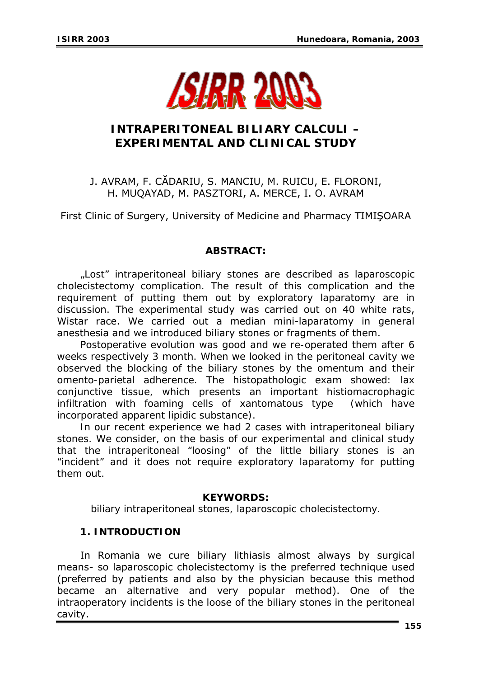

# **INTRAPERITONEAL BILIARY CALCULI – EXPERIMENTAL AND CLINICAL STUDY**

## J. AVRAM, F. CĂDARIU, S. MANCIU, M. RUICU, E. FLORONI, H. MUQAYAD, M. PASZTORI, A. MERCE, I. O. AVRAM

First Clinic of Surgery, University of Medicine and Pharmacy TIMIŞOARA

### *ABSTRACT:*

*"Lost" intraperitoneal biliary stones are described as laparoscopic cholecistectomy complication. The result of this complication and the requirement of putting them out by exploratory laparatomy are in discussion.* The experimental study was carried out on 40 white rats, Wistar race. We carried out a median mini-laparatomy in general anesthesia and we introduced biliary stones or fragments of them.

*Postoperative evolution was good and we re-operated them after 6 weeks respectively 3 month. When we looked in the peritoneal cavity we observed the blocking of the biliary stones by the omentum and their omento-parietal adherence. The histopathologic exam showed: lax conjunctive tissue, which presents an important histiomacrophagic infiltration with foaming cells of xantomatous type (which have incorporated apparent lipidic substance).* 

*In our recent experience we had 2 cases with intraperitoneal biliary stones. We consider, on the basis of our experimental and clinical study that the intraperitoneal "loosing" of the little biliary stones is an "incident" and it does not require exploratory laparatomy for putting them out.* 

### *KEYWORDS:*

*biliary intraperitoneal stones, laparoscopic cholecistectomy.* 

### **1. INTRODUCTION**

In Romania we cure biliary lithiasis almost always by surgical means- so laparoscopic cholecistectomy is the preferred technique used (preferred by patients and also by the physician because this method became an alternative and very popular method). One of the intraoperatory incidents is the loose of the biliary stones in the peritoneal cavity.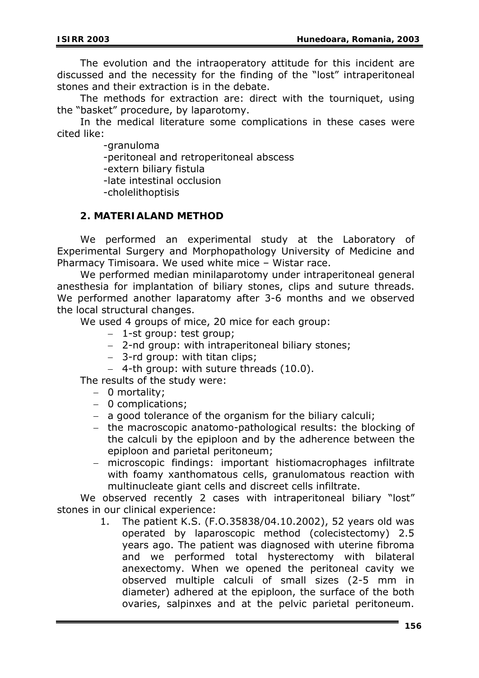The evolution and the intraoperatory attitude for this incident are discussed and the necessity for the finding of the "lost" intraperitoneal stones and their extraction is in the debate.

The methods for extraction are: direct with the tourniquet, using the "basket" procedure, by laparotomy.

In the medical literature some complications in these cases were cited like:

-granuloma

-peritoneal and retroperitoneal abscess

-extern biliary fistula

-late intestinal occlusion

-cholelithoptisis

#### **2. MATERIALAND METHOD**

We performed an experimental study at the Laboratory of Experimental Surgery and Morphopathology University of Medicine and Pharmacy Timisoara. We used white mice – Wistar race.

We performed median minilaparotomy under intraperitoneal general anesthesia for implantation of biliary stones, clips and suture threads. We performed another laparatomy after 3-6 months and we observed the local structural changes.

We used 4 groups of mice, 20 mice for each group:

- − 1-st group: test group;
- − 2-nd group: with intraperitoneal biliary stones;
- − 3-rd group: with titan clips;
- − 4-th group: with suture threads (10.0).

The results of the study were:

- − 0 mortality;
- − 0 complications;
- − a good tolerance of the organism for the biliary calculi;
- − the macroscopic anatomo-pathological results: the blocking of the calculi by the epiploon and by the adherence between the epiploon and parietal peritoneum;
- − microscopic findings: important histiomacrophages infiltrate with foamy xanthomatous cells, granulomatous reaction with multinucleate giant cells and discreet cells infiltrate.

We observed recently 2 cases with intraperitoneal biliary "lost" stones in our clinical experience:

> 1. The patient K.S. (F.O.35838/04.10.2002), 52 years old was operated by laparoscopic method (colecistectomy) 2.5 years ago. The patient was diagnosed with uterine fibroma and we performed total hysterectomy with bilateral anexectomy. When we opened the peritoneal cavity we observed multiple calculi of small sizes (2-5 mm in diameter) adhered at the epiploon, the surface of the both ovaries, salpinxes and at the pelvic parietal peritoneum.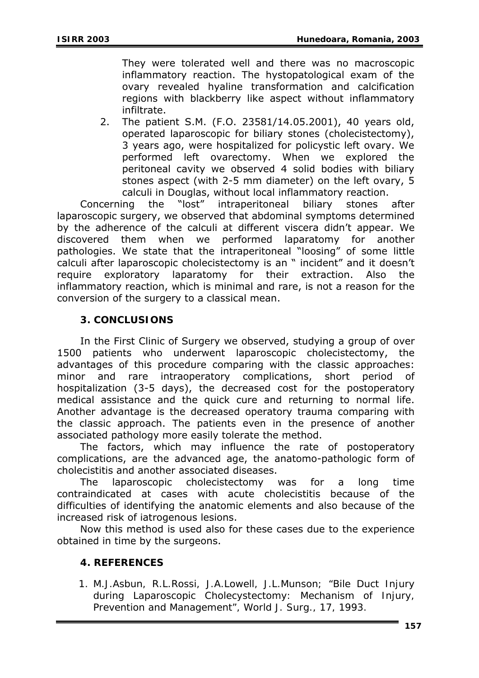They were tolerated well and there was no macroscopic inflammatory reaction. The hystopatological exam of the ovary revealed hyaline transformation and calcification regions with blackberry like aspect without inflammatory infiltrate.

2. The patient S.M. (F.O. 23581/14.05.2001), 40 years old, operated laparoscopic for biliary stones (cholecistectomy), 3 years ago, were hospitalized for policystic left ovary. We performed left ovarectomy. When we explored the peritoneal cavity we observed 4 solid bodies with biliary stones aspect (with 2-5 mm diameter) on the left ovary, 5 calculi in Douglas, without local inflammatory reaction.

Concerning the "lost" intraperitoneal biliary stones after laparoscopic surgery, we observed that abdominal symptoms determined by the adherence of the calculi at different viscera didn't appear. We discovered them when we performed laparatomy for another pathologies. We state that the intraperitoneal "loosing" of some little calculi after laparoscopic cholecistectomy is an " incident" and it doesn't require exploratory laparatomy for their extraction. Also the inflammatory reaction, which is minimal and rare, is not a reason for the conversion of the surgery to a classical mean.

### **3. CONCLUSIONS**

In the First Clinic of Surgery we observed, studying a group of over 1500 patients who underwent laparoscopic cholecistectomy, the advantages of this procedure comparing with the classic approaches: minor and rare intraoperatory complications, short period of hospitalization (3-5 days), the decreased cost for the postoperatory medical assistance and the quick cure and returning to normal life. Another advantage is the decreased operatory trauma comparing with the classic approach. The patients even in the presence of another associated pathology more easily tolerate the method.

The factors, which may influence the rate of postoperatory complications, are the advanced age, the anatomo-pathologic form of cholecistitis and another associated diseases.

The laparoscopic cholecistectomy was for a long time contraindicated at cases with acute cholecistitis because of the difficulties of identifying the anatomic elements and also because of the increased risk of iatrogenous lesions.

Now this method is used also for these cases due to the experience obtained in time by the surgeons.

### **4. REFERENCES**

*1. M.J.Asbun, R.L.Rossi, J.A.Lowell, J.L.Munson; "Bile Duct Injury during Laparoscopic Cholecystectomy: Mechanism of Injury, Prevention and Management", World J. Surg., 17, 1993.*